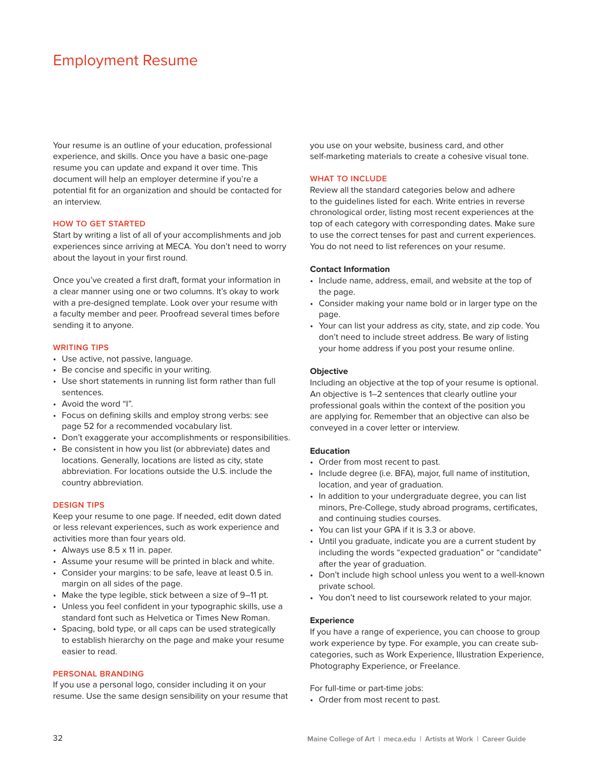# Employment Resume

Your resume is an outline of your education, professional experience, and skills. Once you have a basic one-page resume you can update and expand it over time. This document will help an employer determine if you're a potential fit for an organization and should be contacted for an interview.

### **HOW TO GET STARTED**

Start by writing a list of all of your accomplishments and job experiences since arriving at MECA. You don't need to worry about the layout in your first round.

Once you've created a first draft, format your information in a clear manner using one or two columns. It's okay to work with a pre-designed template. Look over your resume with a faculty member and peer. Proofread several times before sending it to anyone.

#### **WRITING TIPS**

- Use active, not passive, language.
- Be concise and specific in your writing.
- Use short statements in running list form rather than full sentences.
- Avoid the word "I".
- Focus on defining skills and employ strong verbs: see page 52 for a recommended vocabulary list.
- Don't exaggerate your accomplishments or responsibilities.
- Be consistent in how you list (or abbreviate) dates and locations. Generally, locations are listed as city, state abbreviation. For locations outside the U.S. include the country abbreviation.

#### **DESIGN TIPS**

Keep your resume to one page. If needed, edit down dated or less relevant experiences, such as work experience and activities more than four years old.

- Always use 8.5 x 11 in. paper.
- Assume your resume will be printed in black and white.
- Consider your margins: to be safe, leave at least 0.5 in. margin on all sides of the page.
- Make the type legible, stick between a size of 9–11 pt.
- Unless you feel confident in your typographic skills, use a standard font such as Helvetica or Times New Roman.
- Spacing, bold type, or all caps can be used strategically to establish hierarchy on the page and make your resume easier to read.

#### **PERSONAL BRANDING**

If you use a personal logo, consider including it on your resume. Use the same design sensibility on your resume that you use on your website, business card, and other self-marketing materials to create a cohesive visual tone.

# **WHAT TO INCLUDE**

Review all the standard categories below and adhere to the guidelines listed for each. Write entries in reverse chronological order, listing most recent experiences at the top of each category with corresponding dates. Make sure to use the correct tenses for past and current experiences. You do not need to list references on your resume.

#### **Contact Information**

- Include name, address, email, and website at the top of the page.
- Consider making your name bold or in larger type on the page.
- Your can list your address as city, state, and zip code. You don't need to include street address. Be wary of listing your home address if you post your resume online.

#### **Objective**

Including an objective at the top of your resume is optional. An objective is 1–2 sentences that clearly outline your professional goals within the context of the position you are applying for. Remember that an objective can also be conveyed in a cover letter or interview.

#### **Education**

- Order from most recent to past.
- Include degree (i.e. BFA), major, full name of institution, location, and year of graduation.
- In addition to your undergraduate degree, you can list minors, Pre-College, study abroad programs, certificates, and continuing studies courses.
- You can list your GPA if it is 3.3 or above.
- Until you graduate, indicate you are a current student by including the words "expected graduation" or "candidate" after the year of graduation.
- Don't include high school unless you went to a well-known private school.
- You don't need to list coursework related to your major.

#### **Experience**

If you have a range of experience, you can choose to group work experience by type. For example, you can create subcategories, such as Work Experience, Illustration Experience, Photography Experience, or Freelance.

For full-time or part-time jobs:

• Order from most recent to past.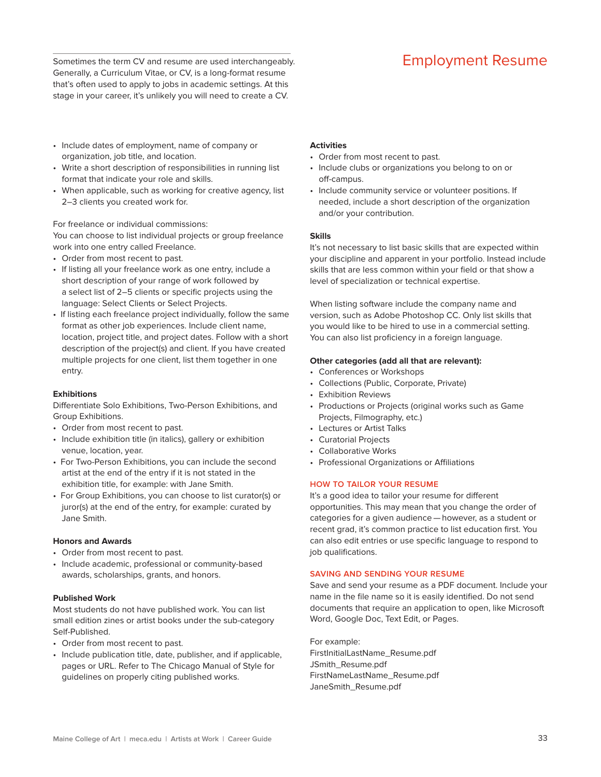Sometimes the term CV and resume are used interchangeably. **Employment Resume** Generally, a Curriculum Vitae, or CV, is a long-format resume that's often used to apply to jobs in academic settings. At this stage in your career, it's unlikely you will need to create a CV.

- Include dates of employment, name of company or organization, job title, and location.
- Write a short description of responsibilities in running list format that indicate your role and skills.
- When applicable, such as working for creative agency, list 2–3 clients you created work for.

For freelance or individual commissions:

You can choose to list individual projects or group freelance work into one entry called Freelance.

- Order from most recent to past.
- If listing all your freelance work as one entry, include a short description of your range of work followed by a select list of 2–5 clients or specific projects using the language: Select Clients or Select Projects.
- If listing each freelance project individually, follow the same format as other job experiences. Include client name, location, project title, and project dates. Follow with a short description of the project(s) and client. If you have created multiple projects for one client, list them together in one entry.

# **Exhibitions**

Diferentiate Solo Exhibitions, Two-Person Exhibitions, and Group Exhibitions.

- Order from most recent to past.
- Include exhibition title (in italics), gallery or exhibition venue, location, year.
- For Two-Person Exhibitions, you can include the second artist at the end of the entry if it is not stated in the exhibition title, for example: with Jane Smith.
- For Group Exhibitions, you can choose to list curator(s) or juror(s) at the end of the entry, for example: curated by Jane Smith.

# **Honors and Awards**

- Order from most recent to past.
- Include academic, professional or community-based awards, scholarships, grants, and honors.

# **Published Work**

Most students do not have published work. You can list small edition zines or artist books under the sub-category Self-Published.

- Order from most recent to past.
- Include publication title, date, publisher, and if applicable, pages or URL. Refer to The Chicago Manual of Style for guidelines on properly citing published works.

#### **Activities**

- Order from most recent to past.
- Include clubs or organizations you belong to on or off-campus.
- Include community service or volunteer positions. If needed, include a short description of the organization and/or your contribution.

#### **Skills**

It's not necessary to list basic skills that are expected within your discipline and apparent in your portfolio. Instead include skills that are less common within your field or that show a level of specialization or technical expertise.

When listing software include the company name and version, such as Adobe Photoshop CC. Only list skills that you would like to be hired to use in a commercial setting. You can also list proficiency in a foreign language.

### **Other categories (add all that are relevant):**

- Conferences or Workshops
- Collections (Public, Corporate, Private)
- Exhibition Reviews
- Productions or Projects (original works such as Game Projects, Filmography, etc.)
- Lectures or Artist Talks
- Curatorial Projects
- Collaborative Works
- Professional Organizations or Affiliations

### **HOW TO TAILOR YOUR RESUME**

It's a good idea to tailor your resume for diferent opportunities. This may mean that you change the order of categories for a given audience — however, as a student or recent grad, it's common practice to list education first. You can also edit entries or use specific language to respond to job qualifications.

# **SAVING AND SENDING YOUR RESUME**

Save and send your resume as a PDF document. Include your name in the file name so it is easily identified. Do not send documents that require an application to open, like Microsoft Word, Google Doc, Text Edit, or Pages.

For example: FirstInitialLastName\_Resume.pdf JSmith\_Resume.pdf FirstNameLastName\_Resume.pdf JaneSmith\_Resume.pdf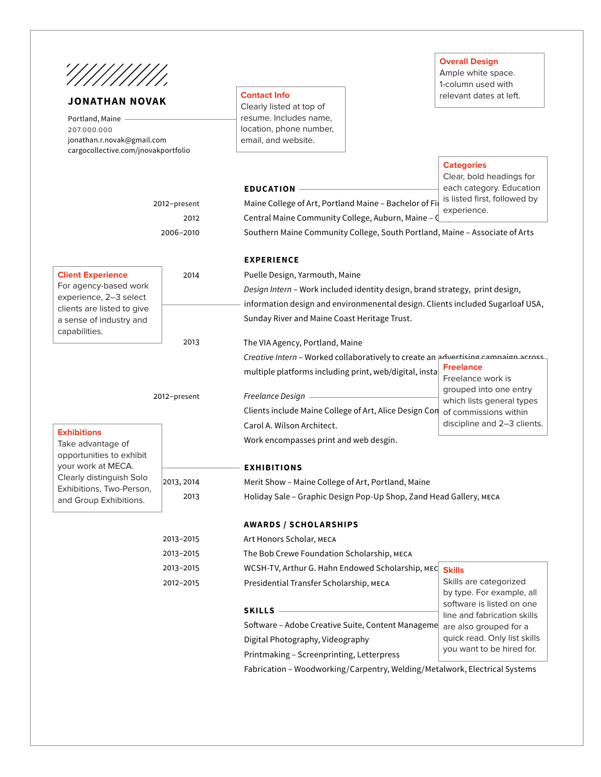

# **JONATHAN NOVAK**

**Portiand, Manie**<br>207.000.000 Portland, Maine jonathan.r.novak@gmail.com cargocollective.com/jnovakportfolio

2012–present

2012 2006–2010

# **Contact Info**

Clearly listed at top of resume. Includes name, location, phone number, email, and website.

**EDUCATION**

**Overall Design**

Ample white space. 1-column used with relevant dates at left.

# **Categories**

Clear, bold headings for each category. Education xperience.

| Maine College of Art, Portland Maine - Bachelor of Fil is listed first, followed by |
|-------------------------------------------------------------------------------------|
| experience.                                                                         |
| Central Maine Community College, Auburn, Maine - $\int_{0}^{1}$                     |
| Southern Maine Community College, South Portland, Maine - Associate of Arts         |

|                                                      |            | <b>EXPERIENCE</b>                                                                                                                                              |                                                        |  |
|------------------------------------------------------|------------|----------------------------------------------------------------------------------------------------------------------------------------------------------------|--------------------------------------------------------|--|
| <b>Client Experience</b>                             | 2014       | Puelle Design, Yarmouth, Maine                                                                                                                                 |                                                        |  |
| For agency-based work                                |            | Design Intern - Work included identity design, brand strategy, print design,<br>information design and environmenental design. Clients included Sugarloaf USA, |                                                        |  |
| experience, 2-3 select<br>clients are listed to give |            |                                                                                                                                                                |                                                        |  |
| a sense of industry and                              |            | Sunday River and Maine Coast Heritage Trust.                                                                                                                   |                                                        |  |
| capabilities.                                        |            |                                                                                                                                                                |                                                        |  |
|                                                      | 2013       | The VIA Agency, Portland, Maine                                                                                                                                |                                                        |  |
|                                                      |            | Creative Intern - Worked collaboratively to create an advertising campaign across                                                                              |                                                        |  |
|                                                      |            | multiple platforms including print, web/digital, insta                                                                                                         | <b>Freelance</b><br>Freelance work is                  |  |
|                                                      |            |                                                                                                                                                                | grouped into one entry                                 |  |
| 2012-present                                         |            | Freelance Design                                                                                                                                               | which lists general types                              |  |
|                                                      |            | Clients include Maine College of Art, Alice Design Con                                                                                                         | of commissions within                                  |  |
| <b>Exhibitions</b>                                   |            | Carol A. Wilson Architect.                                                                                                                                     | discipline and 2-3 clients.                            |  |
| Take advantage of                                    |            | Work encompasses print and web desgin.                                                                                                                         |                                                        |  |
| opportunities to exhibit                             |            |                                                                                                                                                                |                                                        |  |
| your work at MECA.<br>Clearly distinguish Solo       |            | <b>EXHIBITIONS</b>                                                                                                                                             |                                                        |  |
| Exhibitions, Two-Person,                             | 2013, 2014 | Merit Show - Maine College of Art, Portland, Maine<br>Holiday Sale - Graphic Design Pop-Up Shop, Zand Head Gallery, MECA                                       |                                                        |  |
| and Group Exhibitions.                               | 2013       |                                                                                                                                                                |                                                        |  |
|                                                      |            | <b>AWARDS / SCHOLARSHIPS</b>                                                                                                                                   |                                                        |  |
|                                                      | 2013-2015  | Art Honors Scholar, MECA                                                                                                                                       |                                                        |  |
|                                                      | 2013-2015  | The Bob Crewe Foundation Scholarship, MECA                                                                                                                     |                                                        |  |
|                                                      | 2013-2015  | WCSH-TV, Arthur G. Hahn Endowed Scholarship, MEC Skills                                                                                                        |                                                        |  |
|                                                      | 2012-2015  | Presidential Transfer Scholarship, MECA                                                                                                                        | Skills are categorized                                 |  |
|                                                      |            |                                                                                                                                                                | by type. For example, all<br>software is listed on one |  |
|                                                      |            | <b>SKILLS</b>                                                                                                                                                  | line and fabrication skills                            |  |
|                                                      |            | Software – Adobe Creative Suite, Content Manageme                                                                                                              | are also grouped for a                                 |  |
|                                                      |            | Digital Photography, Videography                                                                                                                               | quick read. Only list skills                           |  |
|                                                      |            | Printmaking - Screenprinting, Letterpress                                                                                                                      | you want to be hired for.                              |  |
|                                                      |            | Fabrication - Woodworking/Carpentry, Welding/Metalwork, Electrical Systems                                                                                     |                                                        |  |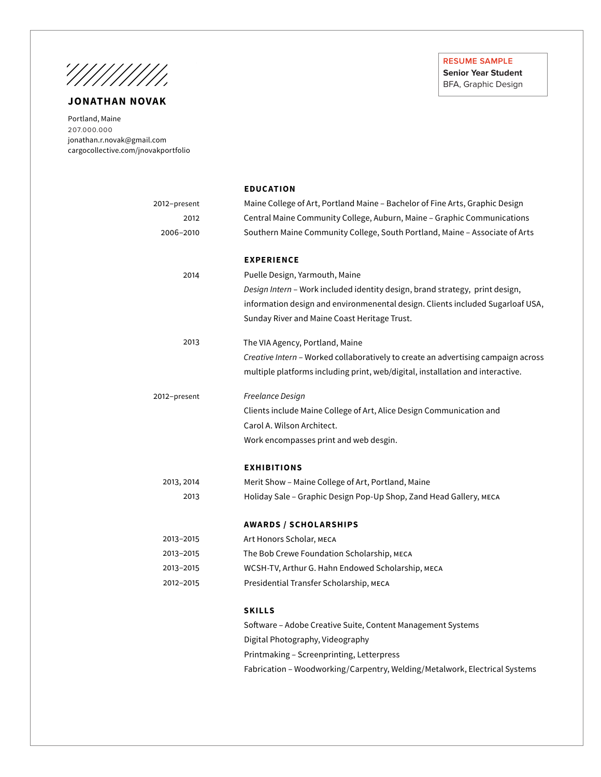!///////////

# **JONATHAN NOVAK**

r ortuario, marrie<br>207.000.000 Portland, Maine jonathan.r.novak@gmail.com cargocollective.com/jnovakportfolio **RESUME SAMPLE Senior Year Student**

BFA, Graphic Design

|              | <b>EDUCATION</b>                                                                  |
|--------------|-----------------------------------------------------------------------------------|
| 2012-present | Maine College of Art, Portland Maine – Bachelor of Fine Arts, Graphic Design      |
| 2012         | Central Maine Community College, Auburn, Maine - Graphic Communications           |
| 2006-2010    | Southern Maine Community College, South Portland, Maine - Associate of Arts       |
|              | <b>EXPERIENCE</b>                                                                 |
| 2014         | Puelle Design, Yarmouth, Maine                                                    |
|              | Design Intern - Work included identity design, brand strategy, print design,      |
|              | information design and environmenental design. Clients included Sugarloaf USA,    |
|              | Sunday River and Maine Coast Heritage Trust.                                      |
| 2013         | The VIA Agency, Portland, Maine                                                   |
|              | Creative Intern - Worked collaboratively to create an advertising campaign across |
|              | multiple platforms including print, web/digital, installation and interactive.    |
| 2012-present | Freelance Design                                                                  |
|              | Clients include Maine College of Art, Alice Design Communication and              |
|              | Carol A. Wilson Architect.                                                        |
|              | Work encompasses print and web desgin.                                            |
|              | <b>EXHIBITIONS</b>                                                                |
| 2013, 2014   | Merit Show - Maine College of Art, Portland, Maine                                |
| 2013         | Holiday Sale – Graphic Design Pop-Up Shop, Zand Head Gallery, мєса                |
|              | <b>AWARDS / SCHOLARSHIPS</b>                                                      |
| 2013-2015    | Art Honors Scholar, MECA                                                          |
| 2013-2015    | The Bob Crewe Foundation Scholarship, MECA                                        |
| 2013-2015    | WCSH-TV, Arthur G. Hahn Endowed Scholarship, MECA                                 |
| 2012-2015    | Presidential Transfer Scholarship, MECA                                           |
|              | <b>SKILLS</b>                                                                     |
|              | Software - Adobe Creative Suite, Content Management Systems                       |
|              | Digital Photography, Videography                                                  |
|              | Printmaking - Screenprinting, Letterpress                                         |
|              | Fabrication - Woodworking/Carpentry, Welding/Metalwork, Electrical Systems        |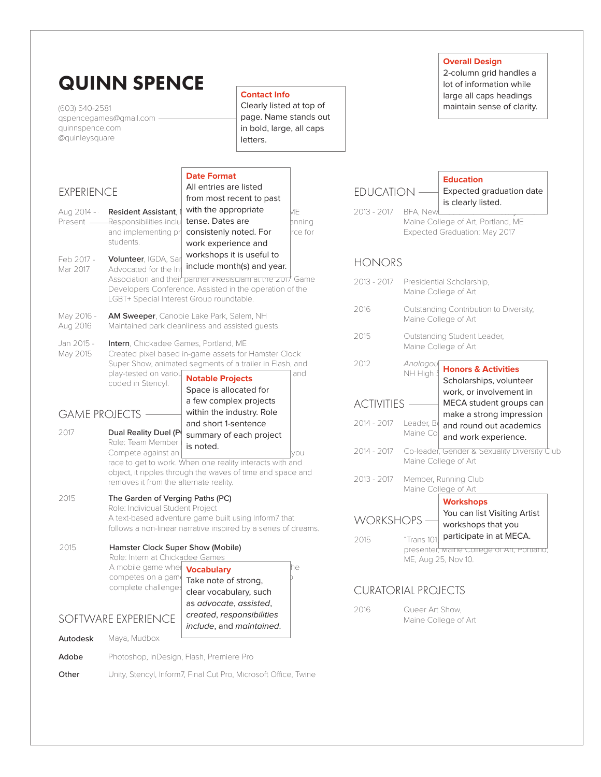| (603) 540-2581<br>quinnspence.com<br>@quinleysquare                                                  | <b>QUINN SPENCE</b><br>qspencegames@gmail.com                                                                                                                                                                       |                                                                                           | <b>Contact Info</b><br>Clearly listed at top of<br>page. Name stands out<br>in bold, large, all caps<br>letters. |                                                                |                        | <b>Overall Design</b><br>2-column grid handles a<br>lot of information while<br>large all caps headings<br>maintain sense of clarity. |
|------------------------------------------------------------------------------------------------------|---------------------------------------------------------------------------------------------------------------------------------------------------------------------------------------------------------------------|-------------------------------------------------------------------------------------------|------------------------------------------------------------------------------------------------------------------|----------------------------------------------------------------|------------------------|---------------------------------------------------------------------------------------------------------------------------------------|
|                                                                                                      |                                                                                                                                                                                                                     | <b>Date Format</b><br>All entries are listed                                              |                                                                                                                  |                                                                |                        | <b>Education</b>                                                                                                                      |
| <b>EXPERIENCE</b>                                                                                    |                                                                                                                                                                                                                     | from most recent to past                                                                  |                                                                                                                  | <b>EDUCATION</b>                                               |                        | Expected graduation date<br>is clearly listed.                                                                                        |
| Aug 2014 -<br>Present -                                                                              | Resident Assistant.<br>Responsibilities inclu<br>and implementing pr<br>students.                                                                                                                                   | with the appropriate<br>tense. Dates are<br>consistenly noted. For<br>work experience and | МE<br>anning<br>rce for                                                                                          | 2013 - 2017                                                    | BFA, NewL.             | Maine College of Art, Portland, ME<br>Expected Graduation: May 2017                                                                   |
| Feb 2017 -                                                                                           | Volunteer, IGDA, Sar<br>Advocated for the Int                                                                                                                                                                       | workshops it is useful to<br>include month(s) and year.                                   |                                                                                                                  | <b>HONORS</b>                                                  |                        |                                                                                                                                       |
| Mar 2017                                                                                             | Developers Conference. Assisted in the operation of the<br>LGBT+ Special Interest Group roundtable.                                                                                                                 |                                                                                           | Association and their partner #Resistram at the zon/ Game                                                        | 2013 - 2017                                                    |                        | Presidential Scholarship,<br>Maine College of Art                                                                                     |
| May 2016 -<br>Aug 2016                                                                               | AM Sweeper, Canobie Lake Park, Salem, NH<br>Maintained park cleanliness and assisted guests.                                                                                                                        |                                                                                           | 2016                                                                                                             | Outstanding Contribution to Diversity,<br>Maine College of Art |                        |                                                                                                                                       |
| Jan 2015 -                                                                                           | Intern, Chickadee Games, Portland, ME                                                                                                                                                                               |                                                                                           |                                                                                                                  | 2015                                                           |                        | Outstanding Student Leader,<br>Maine College of Art                                                                                   |
| May 2015                                                                                             | Created pixel based in-game assets for Hamster Clock<br>Super Show, animated segments of a trailer in Flash, and<br>play-tested on variou<br><b>Notable Projects</b><br>coded in Stencyl.<br>Space is allocated for |                                                                                           | and                                                                                                              | 2012                                                           | Analogou<br>NH High \$ | <b>Honors &amp; Activities</b><br>Scholarships, volunteer<br>work, or involvement in                                                  |
|                                                                                                      |                                                                                                                                                                                                                     | a few complex projects                                                                    |                                                                                                                  | <b>ACTIVITIES</b>                                              |                        | MECA student groups can                                                                                                               |
| 2017                                                                                                 | <b>GAME PROJECTS</b><br>Dual Reality Duel (P                                                                                                                                                                        | within the industry. Role<br>and short 1-sentence<br>summary of each project              |                                                                                                                  | 2014 - 2017                                                    | Leader, Bo<br>Maine Co | make a strong impression<br>and round out academics<br>and work experience.                                                           |
|                                                                                                      | Role: Team Member<br>Compete against an<br>race to get to work. When one reality interacts with and                                                                                                                 | is noted.                                                                                 | lyou                                                                                                             | 2014 - 2017                                                    |                        | Co-leader, Gender & Sexuality Diversity Club<br>Maine College of Art                                                                  |
| object, it ripples through the waves of time and space and<br>removes it from the alternate reality. |                                                                                                                                                                                                                     |                                                                                           |                                                                                                                  | 2013 - 2017                                                    |                        | Member, Running Club<br>Maine College of Art                                                                                          |
| 2015                                                                                                 | The Garden of Verging Paths (PC)<br>Role: Individual Student Project                                                                                                                                                |                                                                                           |                                                                                                                  |                                                                |                        | <b>Workshops</b>                                                                                                                      |
|                                                                                                      | A text-based adventure game built using Inform7 that                                                                                                                                                                |                                                                                           | follows a non-linear narrative inspired by a series of dreams.                                                   | WORKSHOPS                                                      |                        | You can list Visiting Artist<br>workshops that you                                                                                    |
| 2015                                                                                                 | Hamster Clock Super Show (Mobile)<br>Role: Intern at Chickadee Games<br>A mobile game wher                                                                                                                          | <b>Vocabulary</b>                                                                         | he                                                                                                               | 2015                                                           | "Trans 101,            | participate in at MECA.<br>presenter, Maine College of Art, Portland,<br>ME, Aug 25, Nov 10.                                          |
| competes on a game<br>complete challenges                                                            |                                                                                                                                                                                                                     | Take note of strong,<br>clear vocabulary, such                                            |                                                                                                                  | <b>CURATORIAL PROJECTS</b>                                     |                        |                                                                                                                                       |
|                                                                                                      | SOFTWARE EXPERIENCE                                                                                                                                                                                                 | as advocate, assisted,<br>created, responsibilities<br>include, and maintained.           |                                                                                                                  | 2016                                                           | Queer Art Show,        | Maine College of Art                                                                                                                  |
| Autodesk                                                                                             | Maya, Mudbox                                                                                                                                                                                                        |                                                                                           |                                                                                                                  |                                                                |                        |                                                                                                                                       |
| Adobe                                                                                                | Photoshop, InDesign, Flash, Premiere Pro                                                                                                                                                                            |                                                                                           |                                                                                                                  |                                                                |                        |                                                                                                                                       |
| Other                                                                                                | Unity, Stencyl, Inform7, Final Cut Pro, Microsoft Office, Twine                                                                                                                                                     |                                                                                           |                                                                                                                  |                                                                |                        |                                                                                                                                       |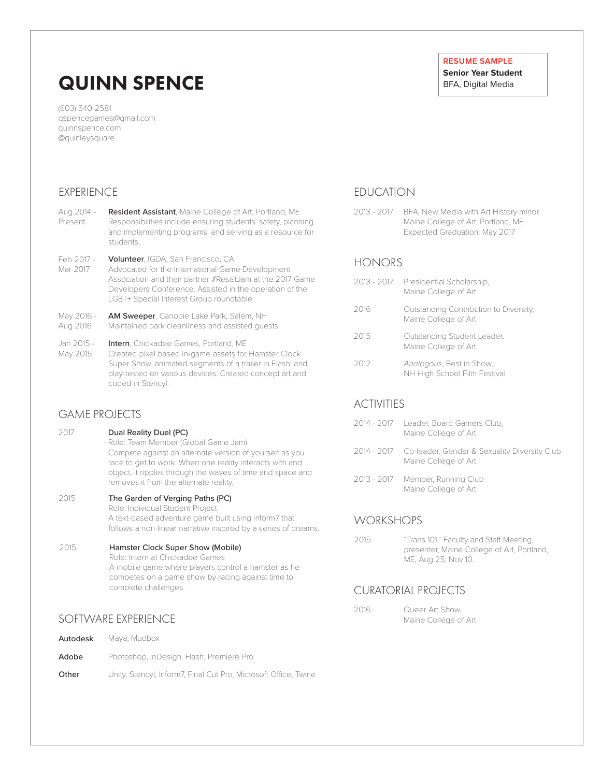# QUINN SPENCE

(603) 540-2581 qspencegames@gmail.com quinnspence.com @quinleysquare

# EXPERIENCE

- Resident Assistant, Maine College of Art, Portland, ME Responsibilities include ensuring students' safety, planning and implementing programs, and serving as a resource for students. Aug 2014 – Present
- Volunteer, IGDA, San Francisco, CA Feb 2017 -
- Advocated for the International Game Development Association and their partner #ResistJam at the 2017 Game Developers Conference. Assisted in the operation of the LGBT+ Special Interest Group roundtable. Mar 2017
- AM Sweeper, Canobie Lake Park, Salem, NH Maintained park cleanliness and assisted guests. May 2016 - Aug 2016

#### Intern, Chickadee Games, Portland, ME Created pixel based in-game assets for Hamster Clock Super Show, animated segments of a trailer in Flash, and play-tested on various devices. Created concept art and coded in Stencyl. Jan 2015 - May 2015

# GAME PROJECTS

- 2017 Dual Reality Duel (PC) Role: Team Member (Global Game Jam) Compete against an alternate version of yourself as you race to get to work. When one reality interacts with and object, it ripples through the waves of time and space and removes it from the alternate reality.
- 2015 The Garden of Verging Paths (PC) Role: Individual Student Project A text-based adventure game built using Inform7 that follows a non-linear narrative inspired by a series of dreams.
- 2015 Hamster Clock Super Show (Mobile) Role: Intern at Chickadee Games A mobile game where players control a hamster as he competes on a game show by racing against time to complete challenges.

# SOFTWARE EXPERIENCE

| Autodesk | Maya, Mudbox                                                    |
|----------|-----------------------------------------------------------------|
| Adobe    | Photoshop, InDesign, Flash, Premiere Pro                        |
| Other    | Unity, Stencyl, Inform7, Final Cut Pro, Microsoft Office, Twine |

# **RESUME SAMPLE**

**Senior Year Student** BFA, Digital Media

# EDUCATION

BFA, New Media with Art History minor Maine College of Art, Portland, ME Expected Graduation: May 2017 2013 - 2017

# HONORS

2013 - 2017 2016 2015 2012 Presidential Scholarship, Maine College of Art *Analogous*, Best in Show, NH High School Film Festival Outstanding Student Leader, Maine College of Art Outstanding Contribution to Diversity, Maine College of Art

# ACTIVITIES

- 2014 2017 Leader, Board Gamers Club, Maine College of Art
- 2014 2017 Co-leader, Gender & Sexuality Diversity Club Maine College of Art
- 2013 2017 Member, Running Club Maine College of Art

# **WORKSHOPS**

2015 "Trans 101," Faculty and Staff Meeting, presenter, Maine College of Art, Portland, ME, Aug 25, Nov 10.

# CURATORIAL PROJECTS

| 2016 | Queer Art Show.      |
|------|----------------------|
|      | Maine College of Art |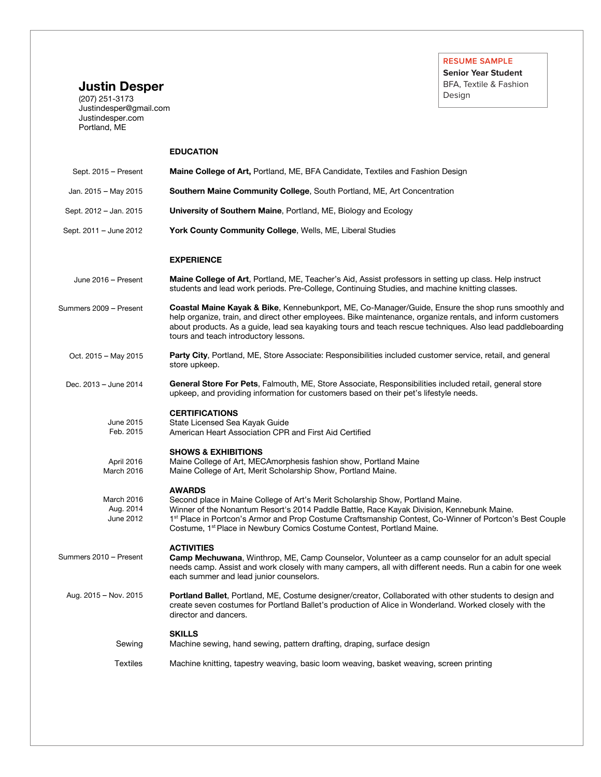**Senior Year Student** BFA, Textile & Fashion Design

# **Justin Desper**

(207) 251-3173 Justindesper@gmail.com Justindesper.com Portland, ME

#### Sept. 2015 – Present Jan. 2015 – May 2015 Sept. 2012 – Jan. 2015 Sept. 2011 – June 2012 **EDUCATION Maine College of Art,** Portland, ME, BFA Candidate, Textiles and Fashion Design **Southern Maine Community College**, South Portland, ME, Art Concentration **University of Southern Maine**, Portland, ME, Biology and Ecology **York County Community College**, Wells, ME, Liberal Studies June 2016 – Present Summers 2009 – Present Oct. 2015 – May 2015 Dec. 2013 – June 2014 **EXPERIENCE Maine College of Art**, Portland, ME, Teacher's Aid, Assist professors in setting up class. Help instruct students and lead work periods. Pre-College, Continuing Studies, and machine knitting classes. **Coastal Maine Kayak & Bike**, Kennebunkport, ME, Co-Manager/Guide, Ensure the shop runs smoothly and help organize, train, and direct other employees. Bike maintenance, organize rentals, and inform customers about products. As a guide, lead sea kayaking tours and teach rescue techniques. Also lead paddleboarding tours and teach introductory lessons. **Party City**, Portland, ME, Store Associate: Responsibilities included customer service, retail, and general store upkeep. **General Store For Pets**, Falmouth, ME, Store Associate, Responsibilities included retail, general store upkeep, and providing information for customers based on their pet's lifestyle needs. June 2015 Feb. 2015 **CERTIFICATIONS** State Licensed Sea Kayak Guide American Heart Association CPR and First Aid Certified April 2016 March 2016 **SHOWS & EXHIBITIONS**  Maine College of Art, MECAmorphesis fashion show, Portland Maine Maine College of Art, Merit Scholarship Show, Portland Maine. March 2016 Aug. 2014 June 2012 **AWARDS**  Second place in Maine College of Art's Merit Scholarship Show, Portland Maine. Winner of the Nonantum Resort's 2014 Paddle Battle, Race Kayak Division, Kennebunk Maine. 1<sup>st</sup> Place in Portcon's Armor and Prop Costume Craftsmanship Contest, Co-Winner of Portcon's Best Couple Costume, 1<sup>st</sup> Place in Newbury Comics Costume Contest, Portland Maine. Summers 2010 – Present Aug. 2015 – Nov. 2015 **ACTIVITIES Camp Mechuwana**, Winthrop, ME, Camp Counselor, Volunteer as a camp counselor for an adult special needs camp. Assist and work closely with many campers, all with different needs. Run a cabin for one week each summer and lead junior counselors. **Portland Ballet**, Portland, ME, Costume designer/creator, Collaborated with other students to design and create seven costumes for Portland Ballet's production of Alice in Wonderland. Worked closely with the director and dancers. Sewing **SKILLS**  Machine sewing, hand sewing, pattern drafting, draping, surface design Textiles Machine knitting, tapestry weaving, basic loom weaving, basket weaving, screen printing